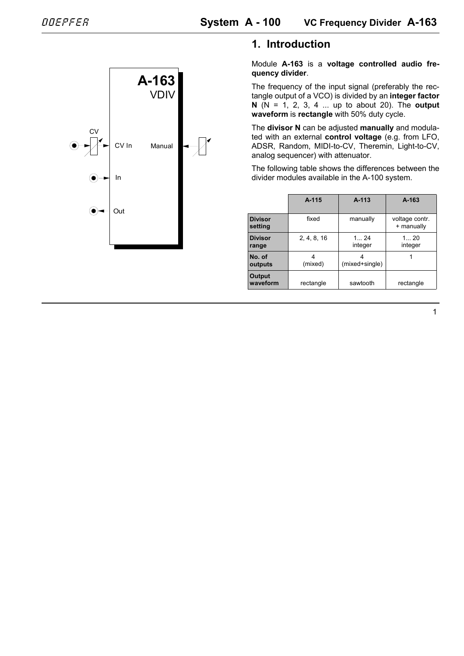

## **1. Introduction**

Module **A-163** is a **voltage controlled audio frequency divider**.

The frequency of the input signal (preferably the rectangle output of a VCO) is divided by an **integer factor N** (N = 1, 2, 3, 4 ... up to about 20). The **output waveform** is **rectangle** with 50% duty cycle.

The **divisor N** can be adjusted **manually** and modulated with an external **control voltage** (e.g. from LFO, ADSR, Random, MIDI-to-CV, Theremin, Light-to-CV, analog sequencer) with attenuator.

The following table shows the differences between the divider modules available in the A-100 system.

|                           | $A-115$     | $A - 113$      | A-163                        |
|---------------------------|-------------|----------------|------------------------------|
| <b>Divisor</b><br>setting | fixed       | manually       | voltage contr.<br>+ manually |
| <b>Divisor</b><br>range   | 2, 4, 8, 16 | 124<br>integer | 120<br>integer               |
| No. of<br>outputs         | (mixed)     | (mixed+single) |                              |
| <b>Output</b><br>waveform | rectangle   | sawtooth       | rectangle                    |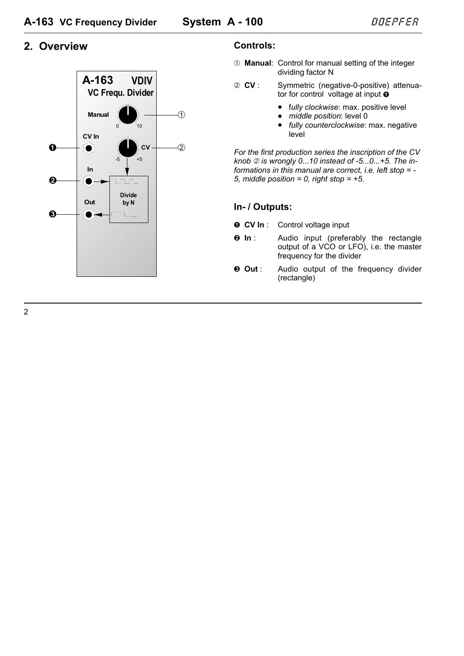## 2. Overview



#### Controls:

- 10 Manual: Control for manual setting of the integer dividing factor N
- 2 CV: Symmetric (negative-0-positive) attenuator for control voltage at input **O** 
	- fully clockwise: max. positive level
	- · middle position: level 0
	- fully counterclockwise: max. negative level

For the first production series the inscription of the CV knob  $\oslash$  is wrongly 0...10 instead of -5...0...+5. The informations in this manual are correct. *i.e.* left stop  $= -$ 5. middle position = 0. right stop =  $+5$ .

## In- / Outputs:

- $OCVIn:$ Control voltage input
- $\theta$  In : Audio input (preferably the rectangle output of a VCO or LFO), i.e. the master frequency for the divider
- Audio output of the frequency divider  $\odot$  Out : (rectangle)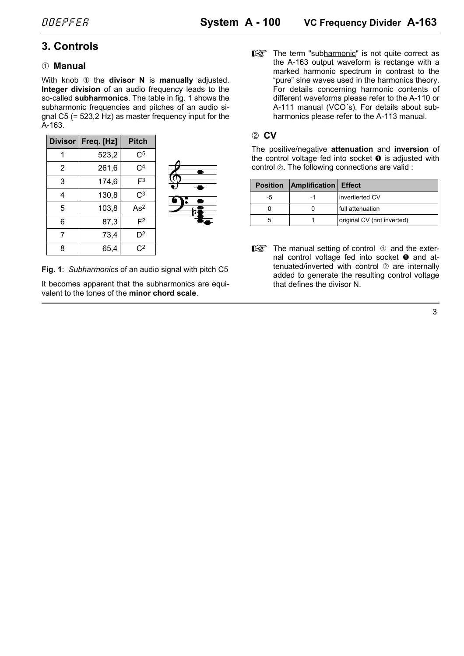# **3. Controls**

#### 1 **Manual**

With knob  $\odot$  the **divisor N** is **manually** adjusted. **Integer division** of an audio frequency leads to the so-called **subharmonics**. The table in fig. 1 shows the subharmonic frequencies and pitches of an audio signal C5 (= 523,2 Hz) as master frequency input for the A-163.

| <b>Divisor</b> | Freq. [Hz] | <b>Pitch</b>    |
|----------------|------------|-----------------|
| 1              | 523,2      | $\rm C^5$       |
| 2              | 261,6      | $\rm C^4$       |
| 3              | 174,6      | F <sup>3</sup>  |
| 4              | 130,8      | $\rm C^3$       |
| 5              | 103,8      | As <sup>2</sup> |
| 6              | 87,3       | F <sup>2</sup>  |
| 7              | 73,4       | D <sup>2</sup>  |
| 8              | 65,4       | C <sup>2</sup>  |



**Fig. 1**: *Subharmonics* of an audio signal with pitch C5

It becomes apparent that the subharmonics are equivalent to the tones of the **minor chord scale**.

 $\mathbb{R}$  The term "subharmonic" is not quite correct as the A-163 output waveform is rectange with a marked harmonic spectrum in contrast to the "pure" sine waves used in the harmonics theory. For details concerning harmonic contents of different waveforms please refer to the A-110 or A-111 manual (VCO´s). For details about subharmonics please refer to the A-113 manual.

#### 2 **CV**

The positive/negative **attenuation** and **inversion** of the control voltage fed into socket  $\bullet$  is adjusted with control 2. The following connections are valid :

| <b>Position</b> | <b>Amplification Effect</b> |                            |
|-----------------|-----------------------------|----------------------------|
| -5              | -1                          | invertierted CV            |
|                 |                             | full attenuation           |
| ٠h              |                             | original CV (not inverted) |

 $\mathbb{R}$  The manual setting of control  $\mathbb O$  and the external control voltage fed into socket  $\bullet$  and attenuated/inverted with control  $\oslash$  are internally added to generate the resulting control voltage that defines the divisor N.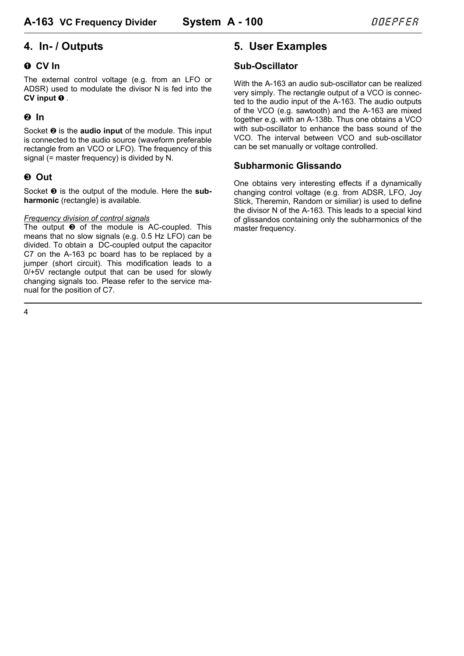# **4. In- / Outputs**

### ! **CV In**

The external control voltage (e.g. from an LFO or ADSR) used to modulate the divisor N is fed into the **CV** input **0** .

## **2** In

Socket  $\odot$  is the **audio input** of the module. This input is connected to the audio source (waveform preferable rectangle from an VCO or LFO). The frequency of this signal (= master frequency) is divided by N.

## § **Out**

Socket  $\odot$  is the output of the module. Here the sub**harmonic** (rectangle) is available.

#### *Frequency division of control signals*

The output  $\odot$  of the module is AC-coupled. This means that no slow signals (e.g. 0.5 Hz LFO) can be divided. To obtain a DC-coupled output the capacitor C7 on the A-163 pc board has to be replaced by a jumper (short circuit). This modification leads to a 0/+5V rectangle output that can be used for slowly changing signals too. Please refer to the service manual for the position of C7.

# **5. User Examples**

#### **Sub-Oscillator**

With the A-163 an audio sub-oscillator can be realized very simply. The rectangle output of a VCO is connected to the audio input of the A-163. The audio outputs of the VCO (e.g. sawtooth) and the A-163 are mixed together e.g. with an A-138b. Thus one obtains a VCO with sub-oscillator to enhance the bass sound of the VCO. The interval between VCO and sub-oscillator can be set manually or voltage controlled.

#### **Subharmonic Glissando**

One obtains very interesting effects if a dynamically changing control voltage (e.g. from ADSR, LFO, Joy Stick, Theremin, Random or similiar) is used to define the divisor N of the A-163. This leads to a special kind of glissandos containing only the subharmonics of the master frequency.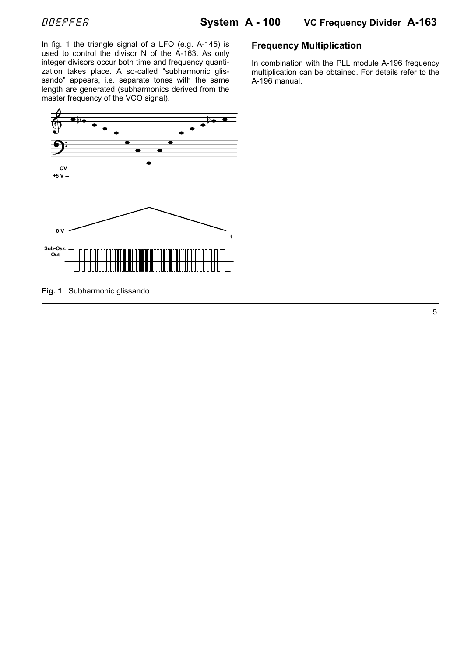In fig. 1 the triangle signal of a LFO (e.g. A-145) is used to control the divisor N of the A-163. As only integer divisors occur both time and frequency quantization takes place. A so-called "subharmonic glissando" appears, i.e. separate tones with the same length are generated (subharmonics derived from the master frequency of the VCO signal).



#### **Frequency Multiplication**

In combination with the PLL module A-196 frequency multiplication can be obtained. For details refer to the A-196 manual.